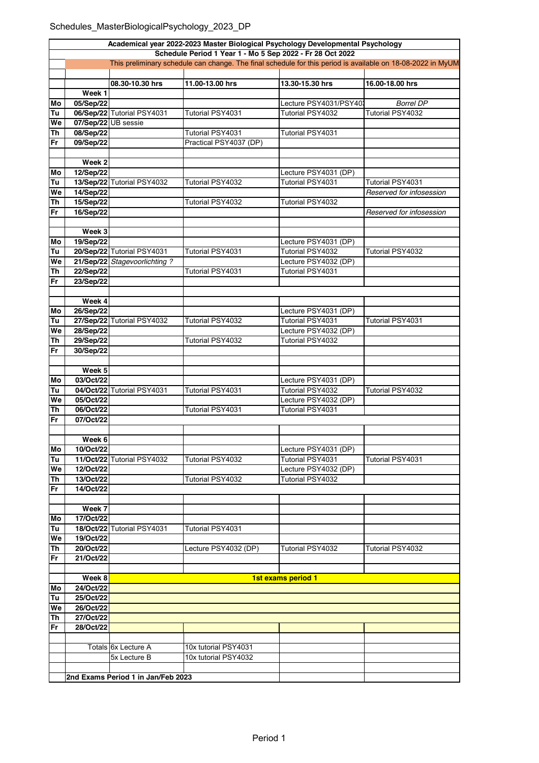## Schedules\_MasterBiologicalPsychology\_2023\_DP

| Academical year 2022-2023 Master Biological Psychology Developmental Psychology                                                                                          |                     |                                    |                         |                                          |                          |  |  |  |
|--------------------------------------------------------------------------------------------------------------------------------------------------------------------------|---------------------|------------------------------------|-------------------------|------------------------------------------|--------------------------|--|--|--|
| Schedule Period 1 Year 1 - Mo 5 Sep 2022 - Fr 28 Oct 2022<br>This preliminary schedule can change. The final schedule for this period is available on 18-08-2022 in MyUM |                     |                                    |                         |                                          |                          |  |  |  |
|                                                                                                                                                                          |                     |                                    |                         |                                          |                          |  |  |  |
|                                                                                                                                                                          |                     | 08.30-10.30 hrs                    | 11.00-13.00 hrs         | 13.30-15.30 hrs                          | 16.00-18.00 hrs          |  |  |  |
|                                                                                                                                                                          | Week 1              |                                    |                         |                                          |                          |  |  |  |
| Mo                                                                                                                                                                       | 05/Sep/22           |                                    |                         | Lecture PSY4031/PSY40                    | <b>Borrel DP</b>         |  |  |  |
| Tu                                                                                                                                                                       |                     | 06/Sep/22 Tutorial PSY4031         | Tutorial PSY4031        | Tutorial PSY4032                         | Tutorial PSY4032         |  |  |  |
| We                                                                                                                                                                       | 07/Sep/22 UB sessie |                                    |                         |                                          |                          |  |  |  |
| Th                                                                                                                                                                       | 08/Sep/22           |                                    | Tutorial PSY4031        | Tutorial PSY4031                         |                          |  |  |  |
| Fr                                                                                                                                                                       | 09/Sep/22           |                                    | Practical PSY4037 (DP)  |                                          |                          |  |  |  |
|                                                                                                                                                                          |                     |                                    |                         |                                          |                          |  |  |  |
|                                                                                                                                                                          | Week <sub>2</sub>   |                                    |                         |                                          |                          |  |  |  |
| Mo                                                                                                                                                                       | 12/Sep/22           |                                    |                         | Lecture PSY4031 (DP)                     |                          |  |  |  |
| Tu                                                                                                                                                                       |                     | 13/Sep/22 Tutorial PSY4032         | Tutorial PSY4032        | Tutorial PSY4031                         | Tutorial PSY4031         |  |  |  |
| We                                                                                                                                                                       | 14/Sep/22           |                                    |                         |                                          | Reserved for infosession |  |  |  |
| Th                                                                                                                                                                       | 15/Sep/22           |                                    | Tutorial PSY4032        | Tutorial PSY4032                         |                          |  |  |  |
| Fr                                                                                                                                                                       | 16/Sep/22           |                                    |                         |                                          | Reserved for infosession |  |  |  |
|                                                                                                                                                                          | Week 3              |                                    |                         |                                          |                          |  |  |  |
| Mo                                                                                                                                                                       | 19/Sep/22           |                                    |                         | Lecture PSY4031 (DP)                     |                          |  |  |  |
| Tu                                                                                                                                                                       |                     | 20/Sep/22 Tutorial PSY4031         | Tutorial PSY4031        | Tutorial PSY4032                         | Tutorial PSY4032         |  |  |  |
| We                                                                                                                                                                       |                     | 21/Sep/22 Stagevoorlichting?       |                         | Lecture PSY4032 (DP)                     |                          |  |  |  |
| Th                                                                                                                                                                       | 22/Sep/22           |                                    | Tutorial PSY4031        | Tutorial PSY4031                         |                          |  |  |  |
| Fr                                                                                                                                                                       | 23/Sep/22           |                                    |                         |                                          |                          |  |  |  |
|                                                                                                                                                                          |                     |                                    |                         |                                          |                          |  |  |  |
|                                                                                                                                                                          | Week 4              |                                    |                         |                                          |                          |  |  |  |
| Mo                                                                                                                                                                       | 26/Sep/22           |                                    |                         | Lecture PSY4031 (DP)                     |                          |  |  |  |
| Tu                                                                                                                                                                       |                     | 27/Sep/22 Tutorial PSY4032         | Tutorial PSY4032        | Tutorial PSY4031                         | Tutorial PSY4031         |  |  |  |
| We                                                                                                                                                                       | 28/Sep/22           |                                    |                         | Lecture PSY4032 (DP)                     |                          |  |  |  |
| Th                                                                                                                                                                       | 29/Sep/22           |                                    | <b>Tutorial PSY4032</b> | <b>Tutorial PSY4032</b>                  |                          |  |  |  |
| Fr                                                                                                                                                                       | 30/Sep/22           |                                    |                         |                                          |                          |  |  |  |
|                                                                                                                                                                          |                     |                                    |                         |                                          |                          |  |  |  |
|                                                                                                                                                                          | Week 5<br>03/Oct/22 |                                    |                         |                                          |                          |  |  |  |
| Mo<br>Tu                                                                                                                                                                 |                     | 04/Oct/22 Tutorial PSY4031         | Tutorial PSY4031        | Lecture PSY4031 (DP)<br>Tutorial PSY4032 | Tutorial PSY4032         |  |  |  |
| We                                                                                                                                                                       | 05/Oct/22           |                                    |                         | Lecture PSY4032 (DP)                     |                          |  |  |  |
| Th                                                                                                                                                                       | 06/Oct/22           |                                    | Tutorial PSY4031        | Tutorial PSY4031                         |                          |  |  |  |
| Fr                                                                                                                                                                       | 07/Oct/22           |                                    |                         |                                          |                          |  |  |  |
|                                                                                                                                                                          |                     |                                    |                         |                                          |                          |  |  |  |
|                                                                                                                                                                          | Week 6              |                                    |                         |                                          |                          |  |  |  |
| Mo                                                                                                                                                                       | 10/Oct/22           |                                    |                         | Lecture PSY4031 (DP)                     |                          |  |  |  |
| Tu                                                                                                                                                                       |                     | 11/Oct/22 Tutorial PSY4032         | Tutorial PSY4032        | Tutorial PSY4031                         | Tutorial PSY4031         |  |  |  |
| We                                                                                                                                                                       | 12/Oct/22           |                                    |                         | Lecture PSY4032 (DP)                     |                          |  |  |  |
| Th                                                                                                                                                                       | 13/Oct/22           |                                    | Tutorial PSY4032        | Tutorial PSY4032                         |                          |  |  |  |
| Fr                                                                                                                                                                       | 14/Oct/22           |                                    |                         |                                          |                          |  |  |  |
|                                                                                                                                                                          |                     |                                    |                         |                                          |                          |  |  |  |
| Mo                                                                                                                                                                       | Week 7<br>17/Oct/22 |                                    |                         |                                          |                          |  |  |  |
| Tu                                                                                                                                                                       |                     | 18/Oct/22 Tutorial PSY4031         | Tutorial PSY4031        |                                          |                          |  |  |  |
| We                                                                                                                                                                       | 19/Oct/22           |                                    |                         |                                          |                          |  |  |  |
| <b>Th</b>                                                                                                                                                                | 20/Oct/22           |                                    | Lecture PSY4032 (DP)    | Tutorial PSY4032                         | Tutorial PSY4032         |  |  |  |
| Fr                                                                                                                                                                       | 21/Oct/22           |                                    |                         |                                          |                          |  |  |  |
|                                                                                                                                                                          |                     |                                    |                         |                                          |                          |  |  |  |
|                                                                                                                                                                          | Week 8              |                                    |                         | 1st exams period 1                       |                          |  |  |  |
| Mo                                                                                                                                                                       | 24/Oct/22           |                                    |                         |                                          |                          |  |  |  |
| Tu                                                                                                                                                                       | 25/Oct/22           |                                    |                         |                                          |                          |  |  |  |
| We                                                                                                                                                                       | 26/Oct/22           |                                    |                         |                                          |                          |  |  |  |
| <b>Th</b>                                                                                                                                                                | 27/Oct/22           |                                    |                         |                                          |                          |  |  |  |
| Fr                                                                                                                                                                       | 28/Oct/22           |                                    |                         |                                          |                          |  |  |  |
|                                                                                                                                                                          |                     | Totals 6x Lecture A                | 10x tutorial PSY4031    |                                          |                          |  |  |  |
|                                                                                                                                                                          |                     | 5x Lecture B                       | 10x tutorial PSY4032    |                                          |                          |  |  |  |
|                                                                                                                                                                          |                     |                                    |                         |                                          |                          |  |  |  |
|                                                                                                                                                                          |                     | 2nd Exams Period 1 in Jan/Feb 2023 |                         |                                          |                          |  |  |  |